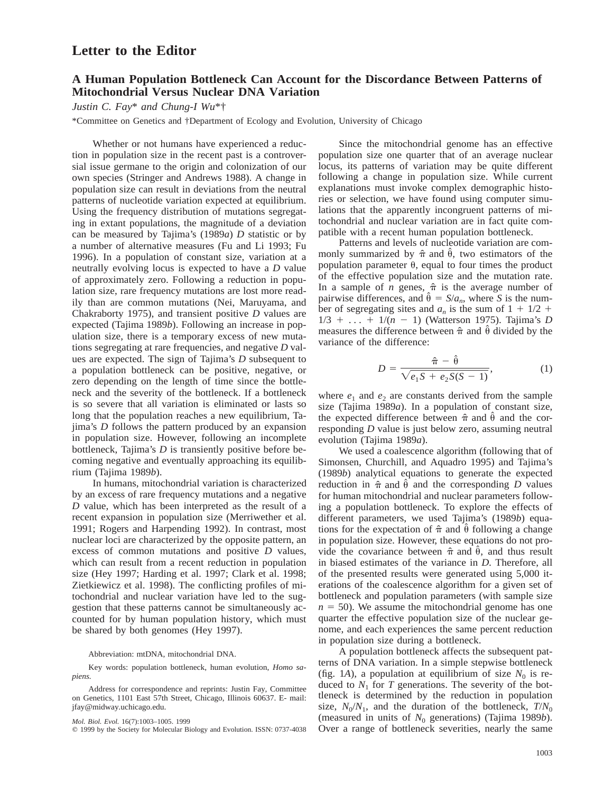# **Letter to the Editor**

## **A Human Population Bottleneck Can Account for the Discordance Between Patterns of Mitochondrial Versus Nuclear DNA Variation**

*Justin C. Fay*\* *and Chung-I Wu*\*†

\*Committee on Genetics and †Department of Ecology and Evolution, University of Chicago

Whether or not humans have experienced a reduction in population size in the recent past is a controversial issue germane to the origin and colonization of our own species (Stringer and Andrews 1988). A change in population size can result in deviations from the neutral patterns of nucleotide variation expected at equilibrium. Using the frequency distribution of mutations segregating in extant populations, the magnitude of a deviation can be measured by Tajima's (1989*a*) *D* statistic or by a number of alternative measures (Fu and Li 1993; Fu 1996). In a population of constant size, variation at a neutrally evolving locus is expected to have a *D* value of approximately zero. Following a reduction in population size, rare frequency mutations are lost more readily than are common mutations (Nei, Maruyama, and Chakraborty 1975), and transient positive *D* values are expected (Tajima 1989*b*). Following an increase in population size, there is a temporary excess of new mutations segregating at rare frequencies, and negative *D* values are expected. The sign of Tajima's *D* subsequent to a population bottleneck can be positive, negative, or zero depending on the length of time since the bottleneck and the severity of the bottleneck. If a bottleneck is so severe that all variation is eliminated or lasts so long that the population reaches a new equilibrium, Tajima's *D* follows the pattern produced by an expansion in population size. However, following an incomplete bottleneck, Tajima's *D* is transiently positive before becoming negative and eventually approaching its equilibrium (Tajima 1989*b*).

In humans, mitochondrial variation is characterized by an excess of rare frequency mutations and a negative *D* value, which has been interpreted as the result of a recent expansion in population size (Merriwether et al. 1991; Rogers and Harpending 1992). In contrast, most nuclear loci are characterized by the opposite pattern, an excess of common mutations and positive *D* values, which can result from a recent reduction in population size (Hey 1997; Harding et al. 1997; Clark et al. 1998; Zietkiewicz et al. 1998). The conflicting profiles of mitochondrial and nuclear variation have led to the suggestion that these patterns cannot be simultaneously accounted for by human population history, which must be shared by both genomes (Hey 1997).

### Abbreviation: mtDNA, mitochondrial DNA.

Key words: population bottleneck, human evolution, *Homo sapiens.*

Since the mitochondrial genome has an effective population size one quarter that of an average nuclear locus, its patterns of variation may be quite different following a change in population size. While current explanations must invoke complex demographic histories or selection, we have found using computer simulations that the apparently incongruent patterns of mitochondrial and nuclear variation are in fact quite compatible with a recent human population bottleneck.

Patterns and levels of nucleotide variation are commonly summarized by  $\hat{\pi}$  and  $\hat{\theta}$ , two estimators of the population parameter  $\theta$ , equal to four times the product of the effective population size and the mutation rate. In a sample of *n* genes,  $\hat{\pi}$  is the average number of pairwise differences, and  $\hat{\theta} = S/a_n$ , where *S* is the number of segregating sites and  $a_n$  is the sum of  $1 + 1/2 + 1$ 1/3 1 ... 1 1/(*n* 2 1) (Watterson 1975). Tajima's *D* measures the difference between  $\hat{\pi}$  and  $\hat{\theta}$  divided by the variance of the difference:

$$
D = \frac{\hat{\pi} - \hat{\theta}}{\sqrt{e_1 S + e_2 S(S - 1)}},
$$
 (1)

where  $e_1$  and  $e_2$  are constants derived from the sample size (Tajima 1989*a*). In a population of constant size, the expected difference between  $\hat{\pi}$  and  $\hat{\theta}$  and the corresponding *D* value is just below zero, assuming neutral evolution (Tajima 1989*a*).

We used a coalescence algorithm (following that of Simonsen, Churchill, and Aquadro 1995) and Tajima's (1989*b*) analytical equations to generate the expected reduction in  $\hat{\pi}$  and  $\hat{\theta}$  and the corresponding *D* values for human mitochondrial and nuclear parameters following a population bottleneck. To explore the effects of different parameters, we used Tajima's (1989*b*) equations for the expectation of  $\hat{\pi}$  and  $\hat{\theta}$  following a change in population size. However, these equations do not provide the covariance between  $\hat{\pi}$  and  $\hat{\theta}$ , and thus result in biased estimates of the variance in *D.* Therefore, all of the presented results were generated using 5,000 iterations of the coalescence algorithm for a given set of bottleneck and population parameters (with sample size  $n = 50$ ). We assume the mitochondrial genome has one quarter the effective population size of the nuclear genome, and each experiences the same percent reduction in population size during a bottleneck.

A population bottleneck affects the subsequent patterns of DNA variation. In a simple stepwise bottleneck (fig. 1*A*), a population at equilibrium of size  $N_0$  is reduced to  $N_1$  for *T* generations. The severity of the bottleneck is determined by the reduction in population size,  $N_0/N_1$ , and the duration of the bottleneck,  $T/N_0$ (measured in units of  $N_0$  generations) (Tajima 1989*b*). Over a range of bottleneck severities, nearly the same

Address for correspondence and reprints: Justin Fay, Committee on Genetics, 1101 East 57th Street, Chicago, Illinois 60637. E- mail: jfay@midway.uchicago.edu.

*Mol. Biol. Evol.* 16(7):1003–1005. 1999

 $©$  1999 by the Society for Molecular Biology and Evolution. ISSN: 0737-4038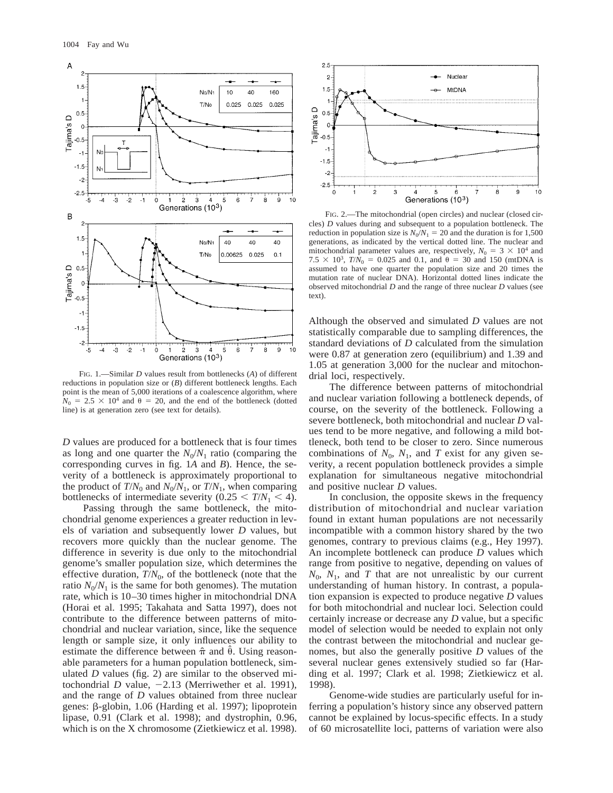

FIG. 1.—Similar *D* values result from bottlenecks (*A*) of different reductions in population size or (*B*) different bottleneck lengths. Each point is the mean of 5,000 iterations of a coalescence algorithm, where  $N_0 = 2.5 \times 10^4$  and  $\theta = 20$ , and the end of the bottleneck (dotted line) is at generation zero (see text for details).

*D* values are produced for a bottleneck that is four times as long and one quarter the  $N_0/N_1$  ratio (comparing the corresponding curves in fig. 1*A* and *B*). Hence, the severity of a bottleneck is approximately proportional to the product of  $T/N_0$  and  $N_0/N_1$ , or  $T/N_1$ , when comparing bottlenecks of intermediate severity  $(0.25 \le T/N_1 \le 4)$ .

Passing through the same bottleneck, the mitochondrial genome experiences a greater reduction in levels of variation and subsequently lower *D* values, but recovers more quickly than the nuclear genome. The difference in severity is due only to the mitochondrial genome's smaller population size, which determines the effective duration,  $T/N_0$ , of the bottleneck (note that the ratio  $N_0/N_1$  is the same for both genomes). The mutation rate, which is 10–30 times higher in mitochondrial DNA (Horai et al. 1995; Takahata and Satta 1997), does not contribute to the difference between patterns of mitochondrial and nuclear variation, since, like the sequence length or sample size, it only influences our ability to estimate the difference between  $\hat{\pi}$  and  $\hat{\theta}$ . Using reasonable parameters for a human population bottleneck, simulated  $D$  values (fig. 2) are similar to the observed mitochondrial *D* value,  $-2.13$  (Merriwether et al. 1991), and the range of *D* values obtained from three nuclear genes: b-globin, 1.06 (Harding et al. 1997); lipoprotein lipase, 0.91 (Clark et al. 1998); and dystrophin, 0.96, which is on the X chromosome (Zietkiewicz et al. 1998).



FIG. 2.—The mitochondrial (open circles) and nuclear (closed circles) *D* values during and subsequent to a population bottleneck. The reduction in population size is  $N_0/N_1 = 20$  and the duration is for 1,500 generations, as indicated by the vertical dotted line. The nuclear and mitochondrial parameter values are, respectively,  $N_0 = 3 \times 10^4$  and  $7.5 \times 10^3$ ,  $T/N_0 = 0.025$  and 0.1, and  $\theta = 30$  and 150 (mtDNA is assumed to have one quarter the population size and 20 times the mutation rate of nuclear DNA). Horizontal dotted lines indicate the observed mitochondrial *D* and the range of three nuclear *D* values (see text).

Although the observed and simulated *D* values are not statistically comparable due to sampling differences, the standard deviations of *D* calculated from the simulation were 0.87 at generation zero (equilibrium) and 1.39 and 1.05 at generation 3,000 for the nuclear and mitochondrial loci, respectively.

The difference between patterns of mitochondrial and nuclear variation following a bottleneck depends, of course, on the severity of the bottleneck. Following a severe bottleneck, both mitochondrial and nuclear *D* values tend to be more negative, and following a mild bottleneck, both tend to be closer to zero. Since numerous combinations of  $N_0$ ,  $N_1$ , and *T* exist for any given severity, a recent population bottleneck provides a simple explanation for simultaneous negative mitochondrial and positive nuclear *D* values.

In conclusion, the opposite skews in the frequency distribution of mitochondrial and nuclear variation found in extant human populations are not necessarily incompatible with a common history shared by the two genomes, contrary to previous claims (e.g., Hey 1997). An incomplete bottleneck can produce *D* values which range from positive to negative, depending on values of  $N_0$ ,  $N_1$ , and *T* that are not unrealistic by our current understanding of human history. In contrast, a population expansion is expected to produce negative *D* values for both mitochondrial and nuclear loci. Selection could certainly increase or decrease any *D* value, but a specific model of selection would be needed to explain not only the contrast between the mitochondrial and nuclear genomes, but also the generally positive *D* values of the several nuclear genes extensively studied so far (Harding et al. 1997; Clark et al. 1998; Zietkiewicz et al. 1998).

Genome-wide studies are particularly useful for inferring a population's history since any observed pattern cannot be explained by locus-specific effects. In a study of 60 microsatellite loci, patterns of variation were also